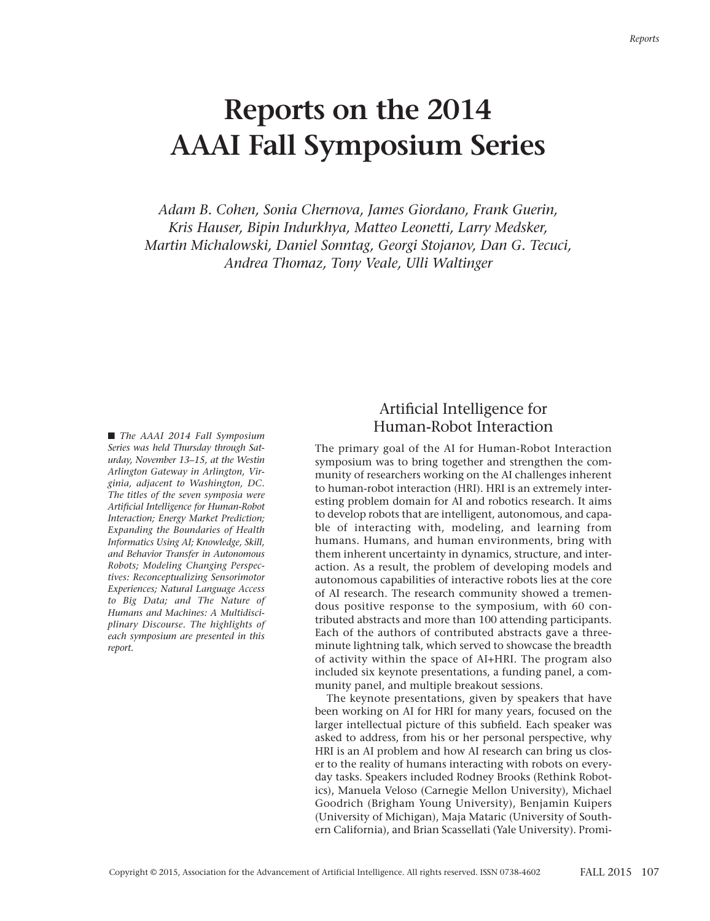#### *Reports*

# **Reports on the 2014 AAAI Fall Symposium Series**

*Adam B. Cohen, Sonia Chernova, James Giordano, Frank Guerin, Kris Hauser, Bipin Indurkhya, Matteo Leonetti, Larry Medsker, Martin Michalowski, Daniel Sonntag, Georgi Stojanov, Dan G. Tecuci, Andrea Thomaz, Tony Veale, Ulli Waltinger*

■ *The AAAI* 2014 *Fall* Symposium *Series was held Thursday through Saturday, November 13–15, at the Westin Arlington Gateway in Arlington, Virginia, adjacent to Washington, DC. The titles of the seven symposia were Artificial Intelligence for Human-Robot Interaction; Energy Market Prediction; Expanding the Boundaries of Health Informatics Using AI; Knowledge, Skill, and Behavior Transfer in Autonomous Robots; Modeling Changing Perspectives: Reconceptualizing Sensorimotor Experiences; Natural Language Access to Big Data; and The Nature of Humans and Machines: A Multidisciplinary Discourse. The highlights of each symposium are presented in this report.*

## Artificial Intelligence for Human-Robot Interaction

The primary goal of the AI for Human-Robot Interaction symposium was to bring together and strengthen the community of researchers working on the AI challenges inherent to human-robot interaction (HRI). HRI is an extremely interesting problem domain for AI and robotics research. It aims to develop robots that are intelligent, autonomous, and capable of interacting with, modeling, and learning from humans. Humans, and human environments, bring with them inherent uncertainty in dynamics, structure, and interaction. As a result, the problem of developing models and autonomous capabilities of interactive robots lies at the core of AI research. The research community showed a tremendous positive response to the symposium, with 60 contributed abstracts and more than 100 attending participants. Each of the authors of contributed abstracts gave a threeminute lightning talk, which served to showcase the breadth of activity within the space of AI+HRI. The program also included six keynote presentations, a funding panel, a community panel, and multiple breakout sessions.

The keynote presentations, given by speakers that have been working on AI for HRI for many years, focused on the larger intellectual picture of this subfield. Each speaker was asked to address, from his or her personal perspective, why HRI is an AI problem and how AI research can bring us closer to the reality of humans interacting with robots on everyday tasks. Speakers included Rodney Brooks (Rethink Robotics), Manuela Veloso (Carnegie Mellon University), Michael Goodrich (Brigham Young University), Benjamin Kuipers (University of Michigan), Maja Mataric (University of Southern California), and Brian Scassellati (Yale University). Promi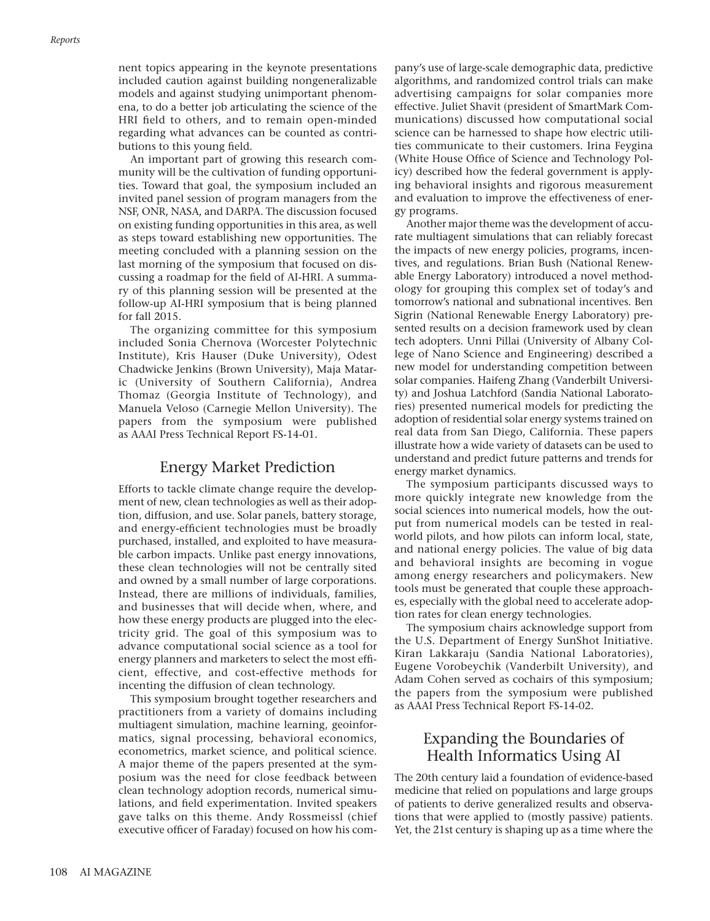nent topics appearing in the keynote presentations included caution against building nongeneralizable models and against studying unimportant phenomena, to do a better job articulating the science of the HRI field to others, and to remain open-minded regarding what advances can be counted as contributions to this young field.

An important part of growing this research community will be the cultivation of funding opportunities. Toward that goal, the symposium included an invited panel session of program managers from the NSF, ONR, NASA, and DARPA. The discussion focused on existing funding opportunities in this area, as well as steps toward establishing new opportunities. The meeting concluded with a planning session on the last morning of the symposium that focused on discussing a roadmap for the field of AI-HRI. A summary of this planning session will be presented at the follow-up AI-HRI symposium that is being planned for fall 2015.

The organizing committee for this symposium included Sonia Chernova (Worcester Polytechnic Institute), Kris Hauser (Duke University), Odest Chadwicke Jenkins (Brown University), Maja Mataric (University of Southern California), Andrea Thomaz (Georgia Institute of Technology), and Manuela Veloso (Carnegie Mellon University). The papers from the symposium were published as AAAI Press Technical Report FS-14-01.

#### Energy Market Prediction

Efforts to tackle climate change require the development of new, clean technologies as well as their adoption, diffusion, and use. Solar panels, battery storage, and energy-efficient technologies must be broadly purchased, installed, and exploited to have measurable carbon impacts. Unlike past energy innovations, these clean technologies will not be centrally sited and owned by a small number of large corporations. Instead, there are millions of individuals, families, and businesses that will decide when, where, and how these energy products are plugged into the electricity grid. The goal of this symposium was to advance computational social science as a tool for energy planners and marketers to select the most efficient, effective, and cost-effective methods for incenting the diffusion of clean technology.

This symposium brought together researchers and practitioners from a variety of domains including multiagent simulation, machine learning, geoinformatics, signal processing, behavioral economics, econometrics, market science, and political science. A major theme of the papers presented at the symposium was the need for close feedback between clean technology adoption records, numerical simulations, and field experimentation. Invited speakers gave talks on this theme. Andy Rossmeissl (chief executive officer of Faraday) focused on how his company's use of large-scale demographic data, predictive algorithms, and randomized control trials can make advertising campaigns for solar companies more effective. Juliet Shavit (president of SmartMark Communications) discussed how computational social science can be harnessed to shape how electric utilities communicate to their customers. Irina Feygina (White House Office of Science and Technology Policy) described how the federal government is applying behavioral insights and rigorous measurement and evaluation to improve the effectiveness of energy programs.

Another major theme was the development of accurate multiagent simulations that can reliably forecast the impacts of new energy policies, programs, incentives, and regulations. Brian Bush (National Renewable Energy Laboratory) introduced a novel methodology for grouping this complex set of today's and tomorrow's national and subnational incentives. Ben Sigrin (National Renewable Energy Laboratory) presented results on a decision framework used by clean tech adopters. Unni Pillai (University of Albany College of Nano Science and Engineering) described a new model for understanding competition between solar companies. Haifeng Zhang (Vanderbilt University) and Joshua Latchford (Sandia National Laboratories) presented numerical models for predicting the adoption of residential solar energy systems trained on real data from San Diego, California. These papers illustrate how a wide variety of datasets can be used to understand and predict future patterns and trends for energy market dynamics.

The symposium participants discussed ways to more quickly integrate new knowledge from the social sciences into numerical models, how the output from numerical models can be tested in realworld pilots, and how pilots can inform local, state, and national energy policies. The value of big data and behavioral insights are becoming in vogue among energy researchers and policymakers. New tools must be generated that couple these approaches, especially with the global need to accelerate adoption rates for clean energy technologies.

The symposium chairs acknowledge support from the U.S. Department of Energy SunShot Initiative. Kiran Lakkaraju (Sandia National Laboratories), Eugene Vorobeychik (Vanderbilt University), and Adam Cohen served as cochairs of this symposium; the papers from the symposium were published as AAAI Press Technical Report FS-14-02.

# Expanding the Boundaries of Health Informatics Using AI

The 20th century laid a foundation of evidence-based medicine that relied on populations and large groups of patients to derive generalized results and observations that were applied to (mostly passive) patients. Yet, the 21st century is shaping up as a time where the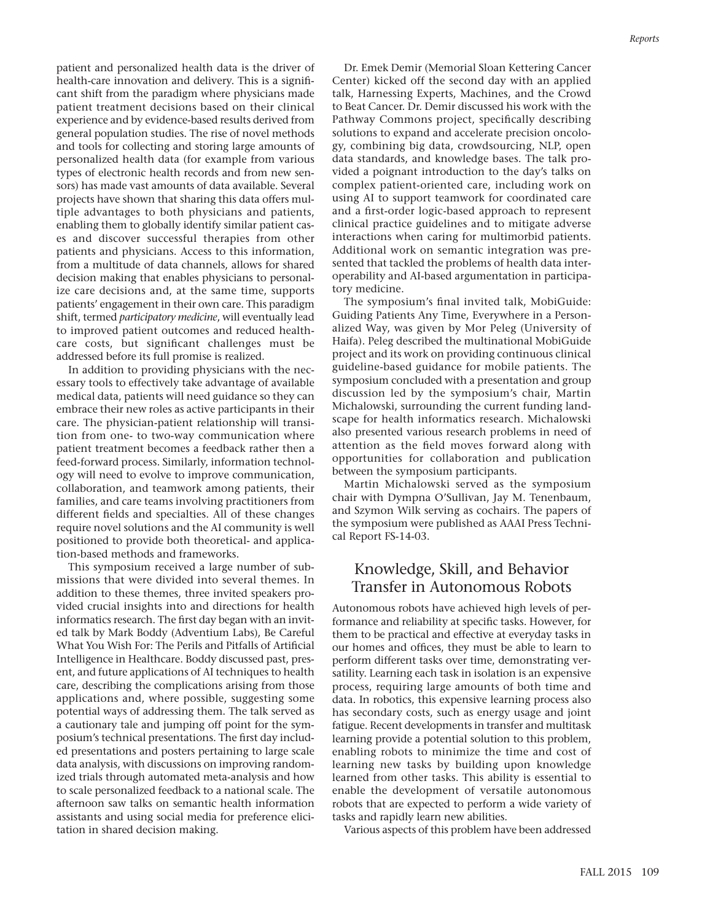patient and personalized health data is the driver of health-care innovation and delivery. This is a significant shift from the paradigm where physicians made patient treatment decisions based on their clinical experience and by evidence-based results derived from general population studies. The rise of novel methods and tools for collecting and storing large amounts of personalized health data (for example from various types of electronic health records and from new sensors) has made vast amounts of data available. Several projects have shown that sharing this data offers multiple advantages to both physicians and patients, enabling them to globally identify similar patient cases and discover successful therapies from other patients and physicians. Access to this information, from a multitude of data channels, allows for shared decision making that enables physicians to personalize care decisions and, at the same time, supports patients' engagement in their own care. This paradigm shift, termed *participatory medicine*, will eventually lead to improved patient outcomes and reduced healthcare costs, but significant challenges must be addressed before its full promise is realized.

In addition to providing physicians with the necessary tools to effectively take advantage of available medical data, patients will need guidance so they can embrace their new roles as active participants in their care. The physician-patient relationship will transition from one- to two-way communication where patient treatment becomes a feedback rather then a feed-forward process. Similarly, information technology will need to evolve to improve communication, collaboration, and teamwork among patients, their families, and care teams involving practitioners from different fields and specialties. All of these changes require novel solutions and the AI community is well positioned to provide both theoretical- and application-based methods and frameworks.

This symposium received a large number of submissions that were divided into several themes. In addition to these themes, three invited speakers provided crucial insights into and directions for health informatics research. The first day began with an invited talk by Mark Boddy (Adventium Labs), Be Careful What You Wish For: The Perils and Pitfalls of Artificial Intelligence in Healthcare. Boddy discussed past, present, and future applications of AI techniques to health care, describing the complications arising from those applications and, where possible, suggesting some potential ways of addressing them. The talk served as a cautionary tale and jumping off point for the symposium's technical presentations. The first day included presentations and posters pertaining to large scale data analysis, with discussions on improving randomized trials through automated meta-analysis and how to scale personalized feedback to a national scale. The afternoon saw talks on semantic health information assistants and using social media for preference elicitation in shared decision making.

Dr. Emek Demir (Memorial Sloan Kettering Cancer Center) kicked off the second day with an applied talk, Harnessing Experts, Machines, and the Crowd to Beat Cancer. Dr. Demir discussed his work with the Pathway Commons project, specifically describing solutions to expand and accelerate precision oncology, combining big data, crowdsourcing, NLP, open data standards, and knowledge bases. The talk provided a poignant introduction to the day's talks on complex patient-oriented care, including work on using AI to support teamwork for coordinated care and a first-order logic-based approach to represent clinical practice guidelines and to mitigate adverse interactions when caring for multimorbid patients. Additional work on semantic integration was presented that tackled the problems of health data interoperability and AI-based argumentation in participatory medicine.

The symposium's final invited talk, MobiGuide: Guiding Patients Any Time, Everywhere in a Personalized Way, was given by Mor Peleg (University of Haifa). Peleg described the multinational MobiGuide project and its work on providing continuous clinical guideline-based guidance for mobile patients. The symposium concluded with a presentation and group discussion led by the symposium's chair, Martin Michalowski, surrounding the current funding landscape for health informatics research. Michalowski also presented various research problems in need of attention as the field moves forward along with opportunities for collaboration and publication between the symposium participants.

Martin Michalowski served as the symposium chair with Dympna O'Sullivan, Jay M. Tenenbaum, and Szymon Wilk serving as cochairs. The papers of the symposium were published as AAAI Press Technical Report FS-14-03.

#### Knowledge, Skill, and Behavior Transfer in Autonomous Robots

Autonomous robots have achieved high levels of performance and reliability at specific tasks. However, for them to be practical and effective at everyday tasks in our homes and offices, they must be able to learn to perform different tasks over time, demonstrating versatility. Learning each task in isolation is an expensive process, requiring large amounts of both time and data. In robotics, this expensive learning process also has secondary costs, such as energy usage and joint fatigue. Recent developments in transfer and multitask learning provide a potential solution to this problem, enabling robots to minimize the time and cost of learning new tasks by building upon knowledge learned from other tasks. This ability is essential to enable the development of versatile autonomous robots that are expected to perform a wide variety of tasks and rapidly learn new abilities.

Various aspects of this problem have been addressed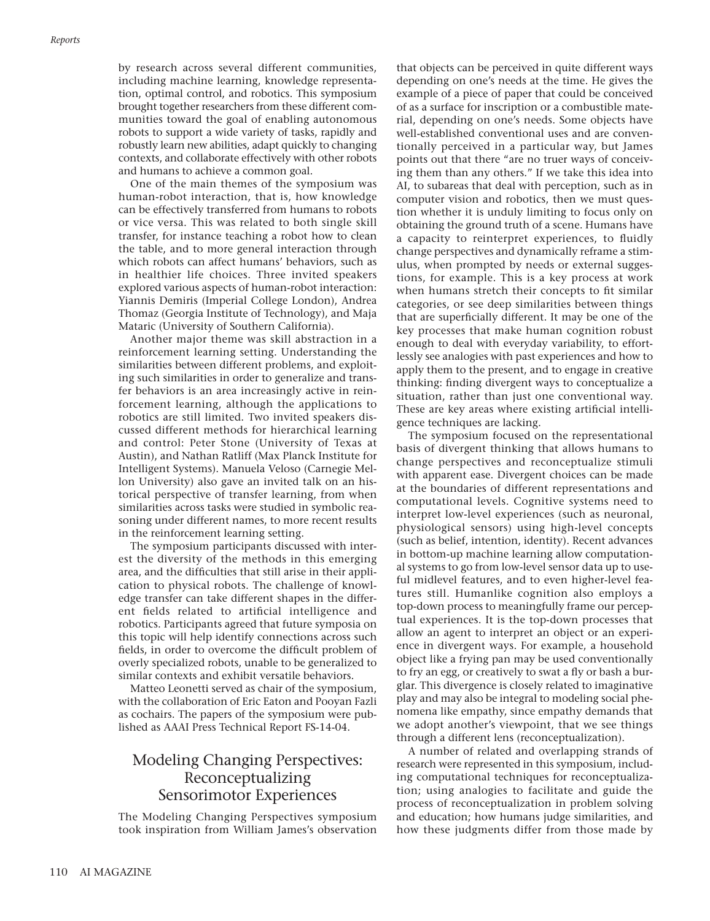by research across several different communities, including machine learning, knowledge representation, optimal control, and robotics. This symposium brought together researchers from these different communities toward the goal of enabling autonomous robots to support a wide variety of tasks, rapidly and robustly learn new abilities, adapt quickly to changing contexts, and collaborate effectively with other robots and humans to achieve a common goal.

One of the main themes of the symposium was human-robot interaction, that is, how knowledge can be effectively transferred from humans to robots or vice versa. This was related to both single skill transfer, for instance teaching a robot how to clean the table, and to more general interaction through which robots can affect humans' behaviors, such as in healthier life choices. Three invited speakers explored various aspects of human-robot interaction: Yiannis Demiris (Imperial College London), Andrea Thomaz (Georgia Institute of Technology), and Maja Mataric (University of Southern California).

Another major theme was skill abstraction in a reinforcement learning setting. Understanding the similarities between different problems, and exploiting such similarities in order to generalize and transfer behaviors is an area increasingly active in reinforcement learning, although the applications to robotics are still limited. Two invited speakers discussed different methods for hierarchical learning and control: Peter Stone (University of Texas at Austin), and Nathan Ratliff (Max Planck Institute for Intelligent Systems). Manuela Veloso (Carnegie Mellon University) also gave an invited talk on an historical perspective of transfer learning, from when similarities across tasks were studied in symbolic reasoning under different names, to more recent results in the reinforcement learning setting.

The symposium participants discussed with interest the diversity of the methods in this emerging area, and the difficulties that still arise in their application to physical robots. The challenge of knowledge transfer can take different shapes in the different fields related to artificial intelligence and robotics. Participants agreed that future symposia on this topic will help identify connections across such fields, in order to overcome the difficult problem of overly specialized robots, unable to be generalized to similar contexts and exhibit versatile behaviors.

Matteo Leonetti served as chair of the symposium, with the collaboration of Eric Eaton and Pooyan Fazli as cochairs. The papers of the symposium were published as AAAI Press Technical Report FS-14-04.

# Modeling Changing Perspectives: Reconceptualizing Sensorimotor Experiences

The Modeling Changing Perspectives symposium took inspiration from William James's observation that objects can be perceived in quite different ways depending on one's needs at the time. He gives the example of a piece of paper that could be conceived of as a surface for inscription or a combustible material, depending on one's needs. Some objects have well-established conventional uses and are conventionally perceived in a particular way, but James points out that there "are no truer ways of conceiving them than any others." If we take this idea into AI, to subareas that deal with perception, such as in computer vision and robotics, then we must question whether it is unduly limiting to focus only on obtaining the ground truth of a scene. Humans have a capacity to reinterpret experiences, to fluidly change perspectives and dynamically reframe a stimulus, when prompted by needs or external suggestions, for example. This is a key process at work when humans stretch their concepts to fit similar categories, or see deep similarities between things that are superficially different. It may be one of the key processes that make human cognition robust enough to deal with everyday variability, to effortlessly see analogies with past experiences and how to apply them to the present, and to engage in creative thinking: finding divergent ways to conceptualize a situation, rather than just one conventional way. These are key areas where existing artificial intelligence techniques are lacking.

The symposium focused on the representational basis of divergent thinking that allows humans to change perspectives and reconceptualize stimuli with apparent ease. Divergent choices can be made at the boundaries of different representations and computational levels. Cognitive systems need to interpret low-level experiences (such as neuronal, physiological sensors) using high-level concepts (such as belief, intention, identity). Recent advances in bottom-up machine learning allow computational systems to go from low-level sensor data up to useful midlevel features, and to even higher-level features still. Humanlike cognition also employs a top-down process to meaningfully frame our perceptual experiences. It is the top-down processes that allow an agent to interpret an object or an experience in divergent ways. For example, a household object like a frying pan may be used conventionally to fry an egg, or creatively to swat a fly or bash a burglar. This divergence is closely related to imaginative play and may also be integral to modeling social phenomena like empathy, since empathy demands that we adopt another's viewpoint, that we see things through a different lens (reconceptualization).

A number of related and overlapping strands of research were represented in this symposium, including computational techniques for reconceptualization; using analogies to facilitate and guide the process of reconceptualization in problem solving and education; how humans judge similarities, and how these judgments differ from those made by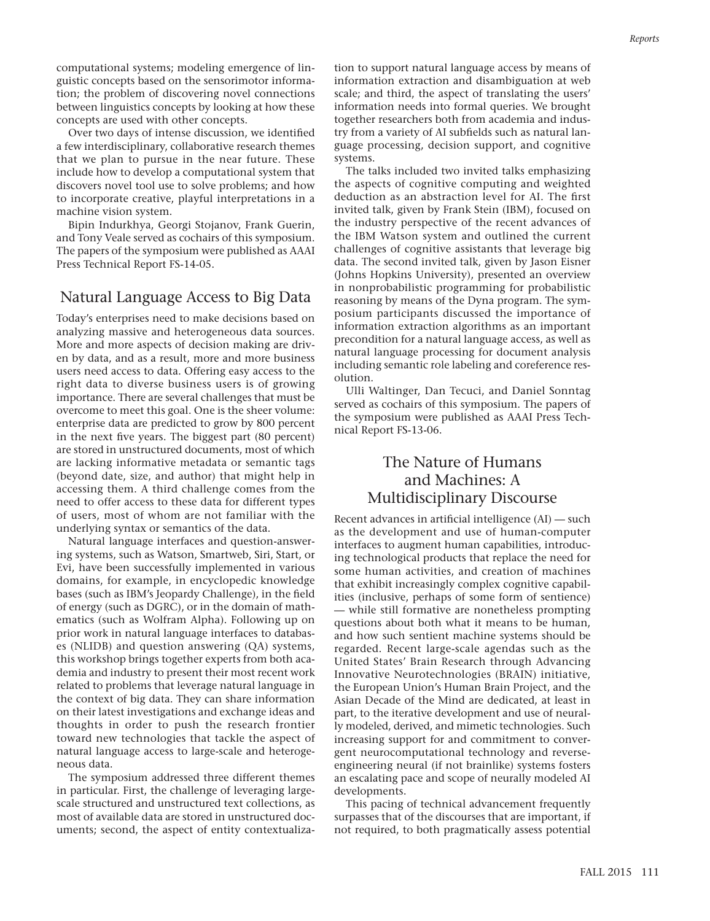computational systems; modeling emergence of linguistic concepts based on the sensorimotor information; the problem of discovering novel connections between linguistics concepts by looking at how these concepts are used with other concepts.

Over two days of intense discussion, we identified a few interdisciplinary, collaborative research themes that we plan to pursue in the near future. These include how to develop a computational system that discovers novel tool use to solve problems; and how to incorporate creative, playful interpretations in a machine vision system.

Bipin Indurkhya, Georgi Stojanov, Frank Guerin, and Tony Veale served as cochairs of this symposium. The papers of the symposium were published as AAAI Press Technical Report FS-14-05.

#### Natural Language Access to Big Data

Today's enterprises need to make decisions based on analyzing massive and heterogeneous data sources. More and more aspects of decision making are driven by data, and as a result, more and more business users need access to data. Offering easy access to the right data to diverse business users is of growing importance. There are several challenges that must be overcome to meet this goal. One is the sheer volume: enterprise data are predicted to grow by 800 percent in the next five years. The biggest part (80 percent) are stored in unstructured documents, most of which are lacking informative metadata or semantic tags (beyond date, size, and author) that might help in accessing them. A third challenge comes from the need to offer access to these data for different types of users, most of whom are not familiar with the underlying syntax or semantics of the data.

Natural language interfaces and question-answering systems, such as Watson, Smartweb, Siri, Start, or Evi, have been successfully implemented in various domains, for example, in encyclopedic knowledge bases (such as IBM's Jeopardy Challenge), in the field of energy (such as DGRC), or in the domain of mathematics (such as Wolfram Alpha). Following up on prior work in natural language interfaces to databases (NLIDB) and question answering (QA) systems, this workshop brings together experts from both academia and industry to present their most recent work related to problems that leverage natural language in the context of big data. They can share information on their latest investigations and exchange ideas and thoughts in order to push the research frontier toward new technologies that tackle the aspect of natural language access to large-scale and heterogeneous data.

The symposium addressed three different themes in particular. First, the challenge of leveraging largescale structured and unstructured text collections, as most of available data are stored in unstructured documents; second, the aspect of entity contextualization to support natural language access by means of information extraction and disambiguation at web scale; and third, the aspect of translating the users' information needs into formal queries. We brought together researchers both from academia and industry from a variety of AI subfields such as natural language processing, decision support, and cognitive systems.

The talks included two invited talks emphasizing the aspects of cognitive computing and weighted deduction as an abstraction level for AI. The first invited talk, given by Frank Stein (IBM), focused on the industry perspective of the recent advances of the IBM Watson system and outlined the current challenges of cognitive assistants that leverage big data. The second invited talk, given by Jason Eisner (Johns Hopkins University), presented an overview in nonprobabilistic programming for probabilistic reasoning by means of the Dyna program. The symposium participants discussed the importance of information extraction algorithms as an important precondition for a natural language access, as well as natural language processing for document analysis including semantic role labeling and coreference resolution.

Ulli Waltinger, Dan Tecuci, and Daniel Sonntag served as cochairs of this symposium. The papers of the symposium were published as AAAI Press Technical Report FS-13-06.

### The Nature of Humans and Machines: A Multidisciplinary Discourse

Recent advances in artificial intelligence (AI) — such as the development and use of human-computer interfaces to augment human capabilities, introducing technological products that replace the need for some human activities, and creation of machines that exhibit increasingly complex cognitive capabilities (inclusive, perhaps of some form of sentience) — while still formative are nonetheless prompting questions about both what it means to be human, and how such sentient machine systems should be regarded. Recent large-scale agendas such as the United States' Brain Research through Advancing Innovative Neurotechnologies (BRAIN) initiative, the European Union's Human Brain Project, and the Asian Decade of the Mind are dedicated, at least in part, to the iterative development and use of neurally modeled, derived, and mimetic technologies. Such increasing support for and commitment to convergent neurocomputational technology and reverseengineering neural (if not brainlike) systems fosters an escalating pace and scope of neurally modeled AI developments.

This pacing of technical advancement frequently surpasses that of the discourses that are important, if not required, to both pragmatically assess potential